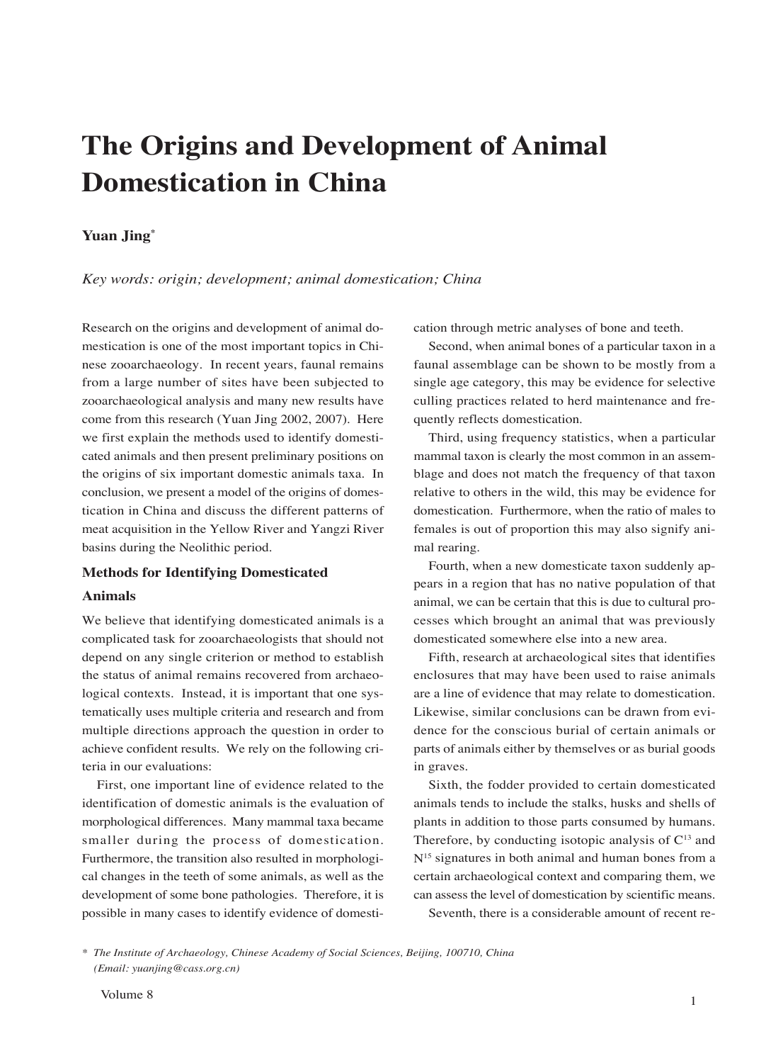# **The Origins and Development of Animal Domestication in China**

# **Yuan Jing\***

*Key words: origin; development; animal domestication; China*

Research on the origins and development of animal domestication is one of the most important topics in Chinese zooarchaeology. In recent years, faunal remains from a large number of sites have been subjected to zooarchaeological analysis and many new results have come from this research (Yuan Jing 2002, 2007). Here we first explain the methods used to identify domesticated animals and then present preliminary positions on the origins of six important domestic animals taxa. In conclusion, we present a model of the origins of domestication in China and discuss the different patterns of meat acquisition in the Yellow River and Yangzi River basins during the Neolithic period.

## **Methods for Identifying Domesticated**

#### **Animals**

We believe that identifying domesticated animals is a complicated task for zooarchaeologists that should not depend on any single criterion or method to establish the status of animal remains recovered from archaeological contexts. Instead, it is important that one systematically uses multiple criteria and research and from multiple directions approach the question in order to achieve confident results. We rely on the following criteria in our evaluations:

First, one important line of evidence related to the identification of domestic animals is the evaluation of morphological differences. Many mammal taxa became smaller during the process of domestication. Furthermore, the transition also resulted in morphological changes in the teeth of some animals, as well as the development of some bone pathologies. Therefore, it is possible in many cases to identify evidence of domestication through metric analyses of bone and teeth.

Second, when animal bones of a particular taxon in a faunal assemblage can be shown to be mostly from a single age category, this may be evidence for selective culling practices related to herd maintenance and frequently reflects domestication.

Third, using frequency statistics, when a particular mammal taxon is clearly the most common in an assemblage and does not match the frequency of that taxon relative to others in the wild, this may be evidence for domestication. Furthermore, when the ratio of males to females is out of proportion this may also signify animal rearing.

Fourth, when a new domesticate taxon suddenly appears in a region that has no native population of that animal, we can be certain that this is due to cultural processes which brought an animal that was previously domesticated somewhere else into a new area.

Fifth, research at archaeological sites that identifies enclosures that may have been used to raise animals are a line of evidence that may relate to domestication. Likewise, similar conclusions can be drawn from evidence for the conscious burial of certain animals or parts of animals either by themselves or as burial goods in graves.

Sixth, the fodder provided to certain domesticated animals tends to include the stalks, husks and shells of plants in addition to those parts consumed by humans. Therefore, by conducting isotopic analysis of  $C<sup>13</sup>$  and N<sup>15</sup> signatures in both animal and human bones from a certain archaeological context and comparing them, we can assess the level of domestication by scientific means.

Seventh, there is a considerable amount of recent re-

*<sup>\*</sup> The Institute of Archaeology, Chinese Academy of Social Sciences, Beijing, 100710, China (Email: yuanjing@cass.org.cn)*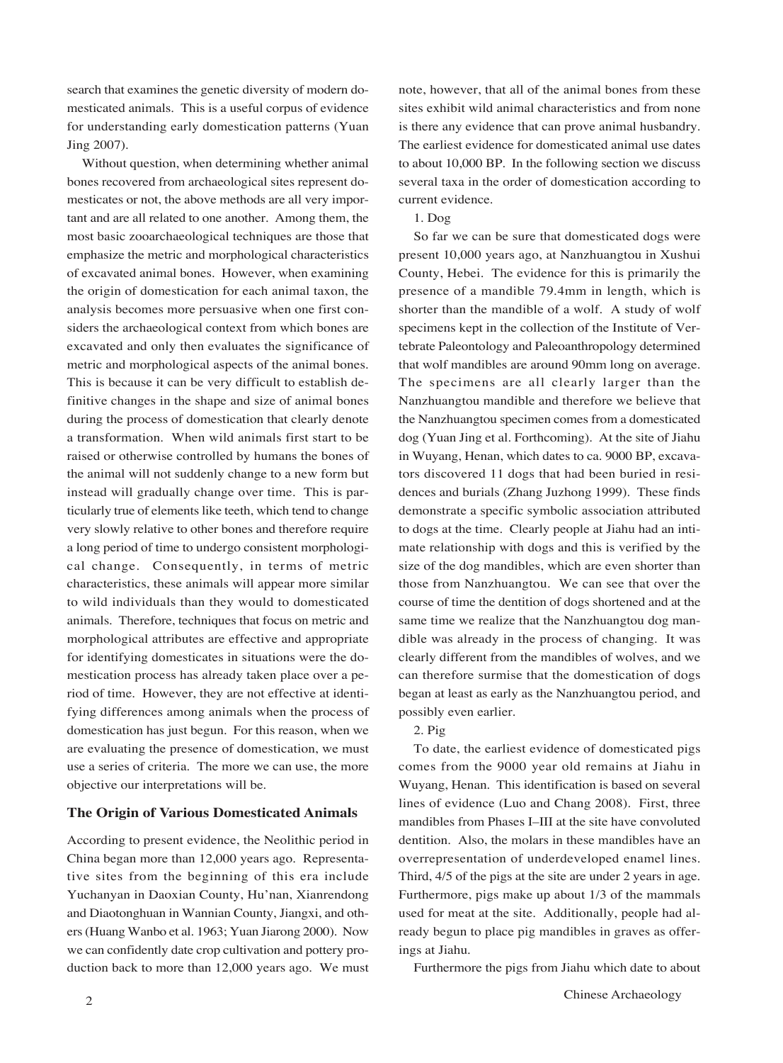search that examines the genetic diversity of modern domesticated animals. This is a useful corpus of evidence for understanding early domestication patterns (Yuan Jing 2007).

Without question, when determining whether animal bones recovered from archaeological sites represent domesticates or not, the above methods are all very important and are all related to one another. Among them, the most basic zooarchaeological techniques are those that emphasize the metric and morphological characteristics of excavated animal bones. However, when examining the origin of domestication for each animal taxon, the analysis becomes more persuasive when one first considers the archaeological context from which bones are excavated and only then evaluates the significance of metric and morphological aspects of the animal bones. This is because it can be very difficult to establish definitive changes in the shape and size of animal bones during the process of domestication that clearly denote a transformation. When wild animals first start to be raised or otherwise controlled by humans the bones of the animal will not suddenly change to a new form but instead will gradually change over time. This is particularly true of elements like teeth, which tend to change very slowly relative to other bones and therefore require a long period of time to undergo consistent morphological change. Consequently, in terms of metric characteristics, these animals will appear more similar to wild individuals than they would to domesticated animals. Therefore, techniques that focus on metric and morphological attributes are effective and appropriate for identifying domesticates in situations were the domestication process has already taken place over a period of time. However, they are not effective at identifying differences among animals when the process of domestication has just begun. For this reason, when we are evaluating the presence of domestication, we must use a series of criteria. The more we can use, the more objective our interpretations will be.

#### **The Origin of Various Domesticated Animals**

According to present evidence, the Neolithic period in China began more than 12,000 years ago. Representative sites from the beginning of this era include Yuchanyan in Daoxian County, Hu'nan, Xianrendong and Diaotonghuan in Wannian County, Jiangxi, and others (Huang Wanbo et al. 1963; Yuan Jiarong 2000). Now we can confidently date crop cultivation and pottery production back to more than 12,000 years ago. We must

note, however, that all of the animal bones from these sites exhibit wild animal characteristics and from none is there any evidence that can prove animal husbandry. The earliest evidence for domesticated animal use dates to about 10,000 BP. In the following section we discuss several taxa in the order of domestication according to current evidence.

#### 1. Dog

So far we can be sure that domesticated dogs were present 10,000 years ago, at Nanzhuangtou in Xushui County, Hebei. The evidence for this is primarily the presence of a mandible 79.4mm in length, which is shorter than the mandible of a wolf. A study of wolf specimens kept in the collection of the Institute of Vertebrate Paleontology and Paleoanthropology determined that wolf mandibles are around 90mm long on average. The specimens are all clearly larger than the Nanzhuangtou mandible and therefore we believe that the Nanzhuangtou specimen comes from a domesticated dog (Yuan Jing et al. Forthcoming). At the site of Jiahu in Wuyang, Henan, which dates to ca. 9000 BP, excavators discovered 11 dogs that had been buried in residences and burials (Zhang Juzhong 1999). These finds demonstrate a specific symbolic association attributed to dogs at the time. Clearly people at Jiahu had an intimate relationship with dogs and this is verified by the size of the dog mandibles, which are even shorter than those from Nanzhuangtou. We can see that over the course of time the dentition of dogs shortened and at the same time we realize that the Nanzhuangtou dog mandible was already in the process of changing. It was clearly different from the mandibles of wolves, and we can therefore surmise that the domestication of dogs began at least as early as the Nanzhuangtou period, and possibly even earlier.

### 2. Pig

To date, the earliest evidence of domesticated pigs comes from the 9000 year old remains at Jiahu in Wuyang, Henan. This identification is based on several lines of evidence (Luo and Chang 2008). First, three mandibles from Phases I–III at the site have convoluted dentition. Also, the molars in these mandibles have an overrepresentation of underdeveloped enamel lines. Third, 4/5 of the pigs at the site are under 2 years in age. Furthermore, pigs make up about 1/3 of the mammals used for meat at the site. Additionally, people had already begun to place pig mandibles in graves as offerings at Jiahu.

Furthermore the pigs from Jiahu which date to about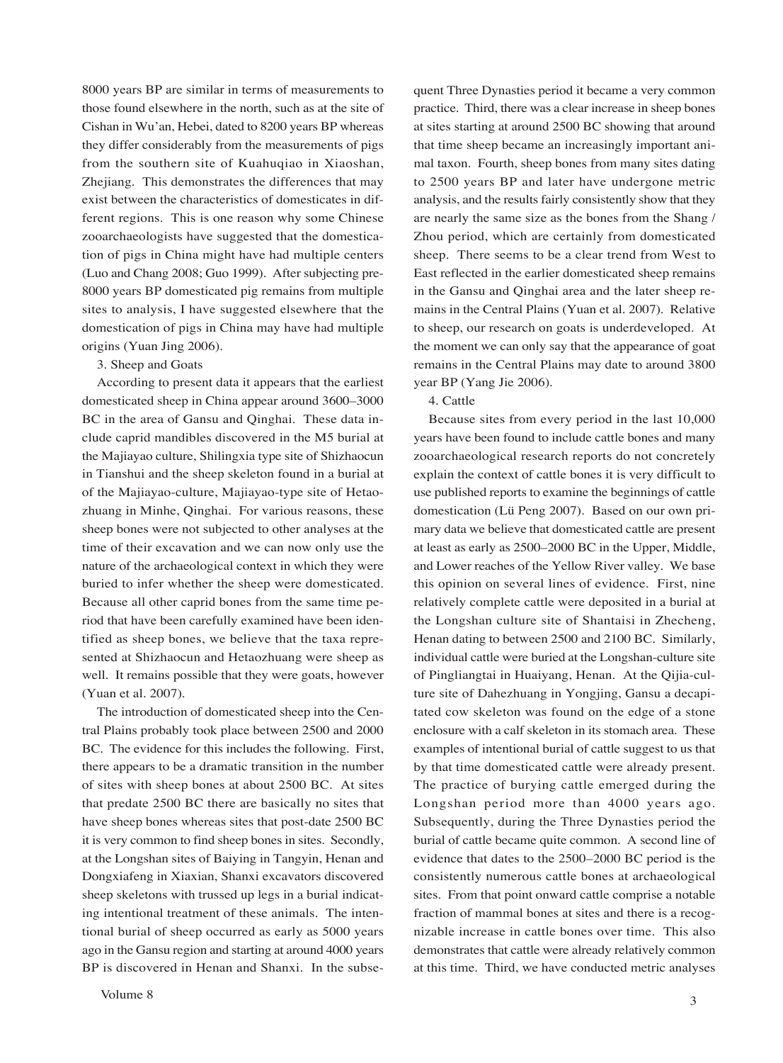8000 years BP are similar in terms of measurements to those found elsewhere in the north, such as at the site of Cishan in Wu'an, Hebei, dated to 8200 years BP whereas they differ considerably from the measurements of pigs from the southern site of Kuahuqiao in Xiaoshan, Zhejiang. This demonstrates the differences that may exist between the characteristics of domesticates in different regions. This is one reason why some Chinese zooarchaeologists have suggested that the domestication of pigs in China might have had multiple centers (Luo and Chang 2008; Guo 1999). After subjecting pre-8000 years BP domesticated pig remains from multiple sites to analysis, I have suggested elsewhere that the domestication of pigs in China may have had multiple origins (Yuan Jing 2006).

#### 3. Sheep and Goats

According to present data it appears that the earliest domesticated sheep in China appear around 3600–3000 BC in the area of Gansu and Qinghai. These data include caprid mandibles discovered in the M5 burial at the Majiayao culture, Shilingxia type site of Shizhaocun in Tianshui and the sheep skeleton found in a burial at of the Majiayao-culture, Majiayao-type site of Hetaozhuang in Minhe, Qinghai. For various reasons, these sheep bones were not subjected to other analyses at the time of their excavation and we can now only use the nature of the archaeological context in which they were buried to infer whether the sheep were domesticated. Because all other caprid bones from the same time period that have been carefully examined have been identified as sheep bones, we believe that the taxa represented at Shizhaocun and Hetaozhuang were sheep as well. It remains possible that they were goats, however (Yuan et al. 2007).

The introduction of domesticated sheep into the Central Plains probably took place between 2500 and 2000 BC. The evidence for this includes the following. First, there appears to be a dramatic transition in the number of sites with sheep bones at about 2500 BC. At sites that predate 2500 BC there are basically no sites that have sheep bones whereas sites that post-date 2500 BC it is very common to find sheep bones in sites. Secondly, at the Longshan sites of Baiying in Tangyin, Henan and Dongxiafeng in Xiaxian, Shanxi excavators discovered sheep skeletons with trussed up legs in a burial indicating intentional treatment of these animals. The intentional burial of sheep occurred as early as 5000 years ago in the Gansu region and starting at around 4000 years BP is discovered in Henan and Shanxi. In the subsequent Three Dynasties period it became a very common practice. Third, there was a clear increase in sheep bones at sites starting at around 2500 BC showing that around that time sheep became an increasingly important animal taxon. Fourth, sheep bones from many sites dating to 2500 years BP and later have undergone metric analysis, and the results fairly consistently show that they are nearly the same size as the bones from the Shang / Zhou period, which are certainly from domesticated sheep. There seems to be a clear trend from West to East reflected in the earlier domesticated sheep remains in the Gansu and Qinghai area and the later sheep remains in the Central Plains (Yuan et al. 2007). Relative to sheep, our research on goats is underdeveloped. At the moment we can only say that the appearance of goat remains in the Central Plains may date to around 3800 year BP (Yang Jie 2006).

#### 4. Cattle

Because sites from every period in the last 10,000 years have been found to include cattle bones and many zooarchaeological research reports do not concretely explain the context of cattle bones it is very difficult to use published reports to examine the beginnings of cattle domestication (Lü Peng 2007). Based on our own primary data we believe that domesticated cattle are present at least as early as 2500–2000 BC in the Upper, Middle, and Lower reaches of the Yellow River valley. We base this opinion on several lines of evidence. First, nine relatively complete cattle were deposited in a burial at the Longshan culture site of Shantaisi in Zhecheng, Henan dating to between 2500 and 2100 BC. Similarly, individual cattle were buried at the Longshan-culture site of Pingliangtai in Huaiyang, Henan. At the Qijia-culture site of Dahezhuang in Yongjing, Gansu a decapitated cow skeleton was found on the edge of a stone enclosure with a calf skeleton in its stomach area. These examples of intentional burial of cattle suggest to us that by that time domesticated cattle were already present. The practice of burying cattle emerged during the Longshan period more than 4000 years ago. Subsequently, during the Three Dynasties period the burial of cattle became quite common. A second line of evidence that dates to the 2500–2000 BC period is the consistently numerous cattle bones at archaeological sites. From that point onward cattle comprise a notable fraction of mammal bones at sites and there is a recognizable increase in cattle bones over time. This also demonstrates that cattle were already relatively common at this time. Third, we have conducted metric analyses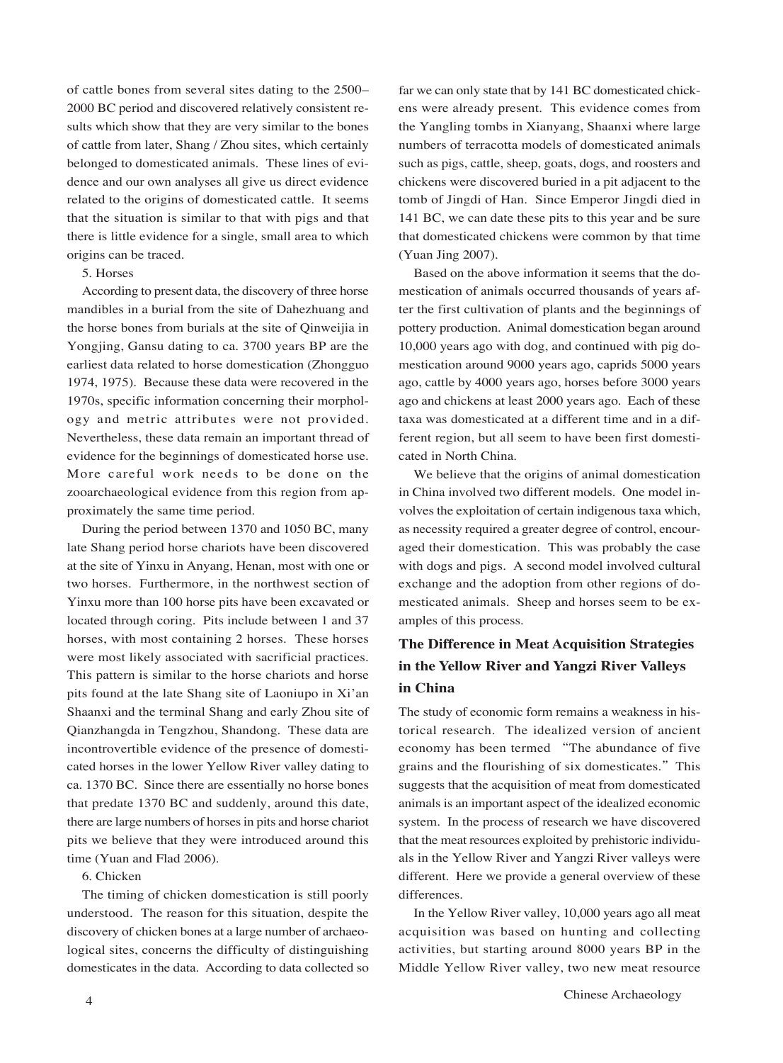of cattle bones from several sites dating to the 2500– 2000 BC period and discovered relatively consistent results which show that they are very similar to the bones of cattle from later, Shang / Zhou sites, which certainly belonged to domesticated animals. These lines of evidence and our own analyses all give us direct evidence related to the origins of domesticated cattle. It seems that the situation is similar to that with pigs and that there is little evidence for a single, small area to which origins can be traced.

#### 5. Horses

According to present data, the discovery of three horse mandibles in a burial from the site of Dahezhuang and the horse bones from burials at the site of Qinweijia in Yongjing, Gansu dating to ca. 3700 years BP are the earliest data related to horse domestication (Zhongguo 1974, 1975). Because these data were recovered in the 1970s, specific information concerning their morphology and metric attributes were not provided. Nevertheless, these data remain an important thread of evidence for the beginnings of domesticated horse use. More careful work needs to be done on the zooarchaeological evidence from this region from approximately the same time period.

During the period between 1370 and 1050 BC, many late Shang period horse chariots have been discovered at the site of Yinxu in Anyang, Henan, most with one or two horses. Furthermore, in the northwest section of Yinxu more than 100 horse pits have been excavated or located through coring. Pits include between 1 and 37 horses, with most containing 2 horses. These horses were most likely associated with sacrificial practices. This pattern is similar to the horse chariots and horse pits found at the late Shang site of Laoniupo in Xi'an Shaanxi and the terminal Shang and early Zhou site of Qianzhangda in Tengzhou, Shandong. These data are incontrovertible evidence of the presence of domesticated horses in the lower Yellow River valley dating to ca. 1370 BC. Since there are essentially no horse bones that predate 1370 BC and suddenly, around this date, there are large numbers of horses in pits and horse chariot pits we believe that they were introduced around this time (Yuan and Flad 2006).

#### 6. Chicken

The timing of chicken domestication is still poorly understood. The reason for this situation, despite the discovery of chicken bones at a large number of archaeological sites, concerns the difficulty of distinguishing domesticates in the data. According to data collected so

far we can only state that by 141 BC domesticated chickens were already present. This evidence comes from the Yangling tombs in Xianyang, Shaanxi where large numbers of terracotta models of domesticated animals such as pigs, cattle, sheep, goats, dogs, and roosters and chickens were discovered buried in a pit adjacent to the tomb of Jingdi of Han. Since Emperor Jingdi died in 141 BC, we can date these pits to this year and be sure that domesticated chickens were common by that time (Yuan Jing 2007).

Based on the above information it seems that the domestication of animals occurred thousands of years after the first cultivation of plants and the beginnings of pottery production. Animal domestication began around 10,000 years ago with dog, and continued with pig domestication around 9000 years ago, caprids 5000 years ago, cattle by 4000 years ago, horses before 3000 years ago and chickens at least 2000 years ago. Each of these taxa was domesticated at a different time and in a different region, but all seem to have been first domesticated in North China.

We believe that the origins of animal domestication in China involved two different models. One model involves the exploitation of certain indigenous taxa which, as necessity required a greater degree of control, encouraged their domestication. This was probably the case with dogs and pigs. A second model involved cultural exchange and the adoption from other regions of domesticated animals. Sheep and horses seem to be examples of this process.

# **The Difference in Meat Acquisition Strategies in the Yellow River and Yangzi River Valleys in China**

The study of economic form remains a weakness in historical research. The idealized version of ancient economy has been termed "The abundance of five grains and the flourishing of six domesticates." This suggests that the acquisition of meat from domesticated animals is an important aspect of the idealized economic system. In the process of research we have discovered that the meat resources exploited by prehistoric individuals in the Yellow River and Yangzi River valleys were different. Here we provide a general overview of these differences.

In the Yellow River valley, 10,000 years ago all meat acquisition was based on hunting and collecting activities, but starting around 8000 years BP in the Middle Yellow River valley, two new meat resource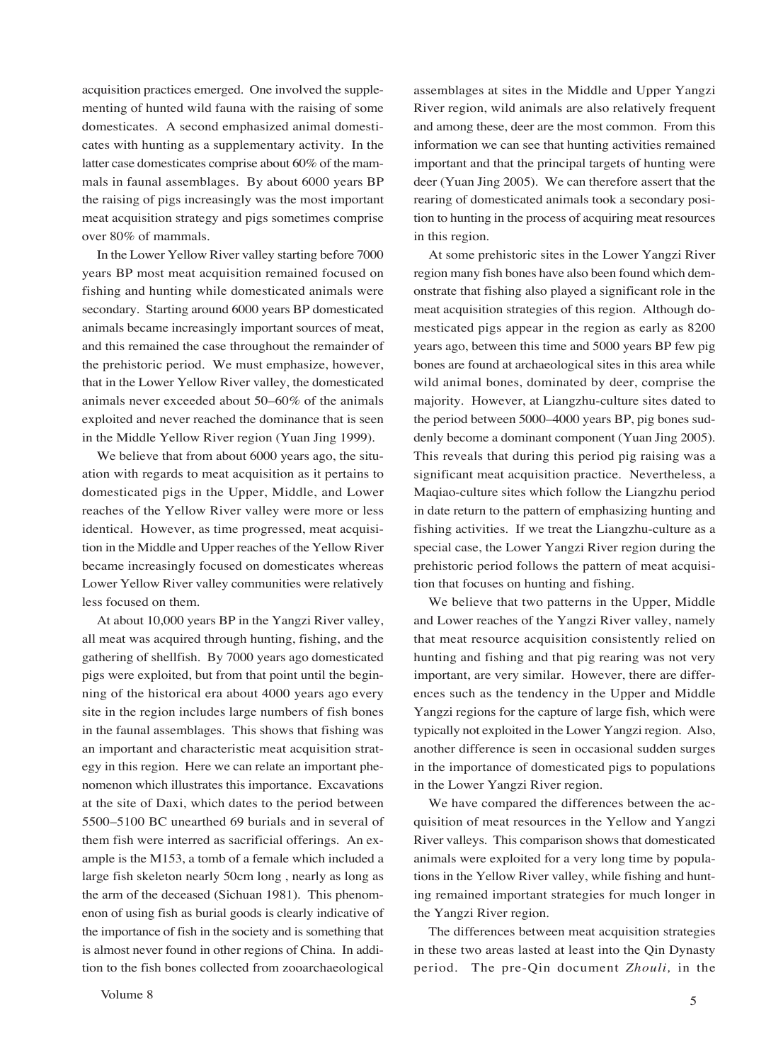acquisition practices emerged. One involved the supplementing of hunted wild fauna with the raising of some domesticates. A second emphasized animal domesticates with hunting as a supplementary activity. In the latter case domesticates comprise about 60% of the mammals in faunal assemblages. By about 6000 years BP the raising of pigs increasingly was the most important meat acquisition strategy and pigs sometimes comprise over 80% of mammals.

In the Lower Yellow River valley starting before 7000 years BP most meat acquisition remained focused on fishing and hunting while domesticated animals were secondary. Starting around 6000 years BP domesticated animals became increasingly important sources of meat, and this remained the case throughout the remainder of the prehistoric period. We must emphasize, however, that in the Lower Yellow River valley, the domesticated animals never exceeded about 50–60% of the animals exploited and never reached the dominance that is seen in the Middle Yellow River region (Yuan Jing 1999).

We believe that from about 6000 years ago, the situation with regards to meat acquisition as it pertains to domesticated pigs in the Upper, Middle, and Lower reaches of the Yellow River valley were more or less identical. However, as time progressed, meat acquisition in the Middle and Upper reaches of the Yellow River became increasingly focused on domesticates whereas Lower Yellow River valley communities were relatively less focused on them.

At about 10,000 years BP in the Yangzi River valley, all meat was acquired through hunting, fishing, and the gathering of shellfish. By 7000 years ago domesticated pigs were exploited, but from that point until the beginning of the historical era about 4000 years ago every site in the region includes large numbers of fish bones in the faunal assemblages. This shows that fishing was an important and characteristic meat acquisition strategy in this region. Here we can relate an important phenomenon which illustrates this importance. Excavations at the site of Daxi, which dates to the period between 5500–5100 BC unearthed 69 burials and in several of them fish were interred as sacrificial offerings. An example is the M153, a tomb of a female which included a large fish skeleton nearly 50cm long , nearly as long as the arm of the deceased (Sichuan 1981). This phenomenon of using fish as burial goods is clearly indicative of the importance of fish in the society and is something that is almost never found in other regions of China. In addition to the fish bones collected from zooarchaeological

assemblages at sites in the Middle and Upper Yangzi River region, wild animals are also relatively frequent and among these, deer are the most common. From this information we can see that hunting activities remained important and that the principal targets of hunting were deer (Yuan Jing 2005). We can therefore assert that the rearing of domesticated animals took a secondary position to hunting in the process of acquiring meat resources in this region.

At some prehistoric sites in the Lower Yangzi River region many fish bones have also been found which demonstrate that fishing also played a significant role in the meat acquisition strategies of this region. Although domesticated pigs appear in the region as early as 8200 years ago, between this time and 5000 years BP few pig bones are found at archaeological sites in this area while wild animal bones, dominated by deer, comprise the majority. However, at Liangzhu-culture sites dated to the period between 5000–4000 years BP, pig bones suddenly become a dominant component (Yuan Jing 2005). This reveals that during this period pig raising was a significant meat acquisition practice. Nevertheless, a Maqiao-culture sites which follow the Liangzhu period in date return to the pattern of emphasizing hunting and fishing activities. If we treat the Liangzhu-culture as a special case, the Lower Yangzi River region during the prehistoric period follows the pattern of meat acquisition that focuses on hunting and fishing.

We believe that two patterns in the Upper, Middle and Lower reaches of the Yangzi River valley, namely that meat resource acquisition consistently relied on hunting and fishing and that pig rearing was not very important, are very similar. However, there are differences such as the tendency in the Upper and Middle Yangzi regions for the capture of large fish, which were typically not exploited in the Lower Yangzi region. Also, another difference is seen in occasional sudden surges in the importance of domesticated pigs to populations in the Lower Yangzi River region.

We have compared the differences between the acquisition of meat resources in the Yellow and Yangzi River valleys. This comparison shows that domesticated animals were exploited for a very long time by populations in the Yellow River valley, while fishing and hunting remained important strategies for much longer in the Yangzi River region.

The differences between meat acquisition strategies in these two areas lasted at least into the Qin Dynasty period. The pre-Qin document *Zhouli,* in the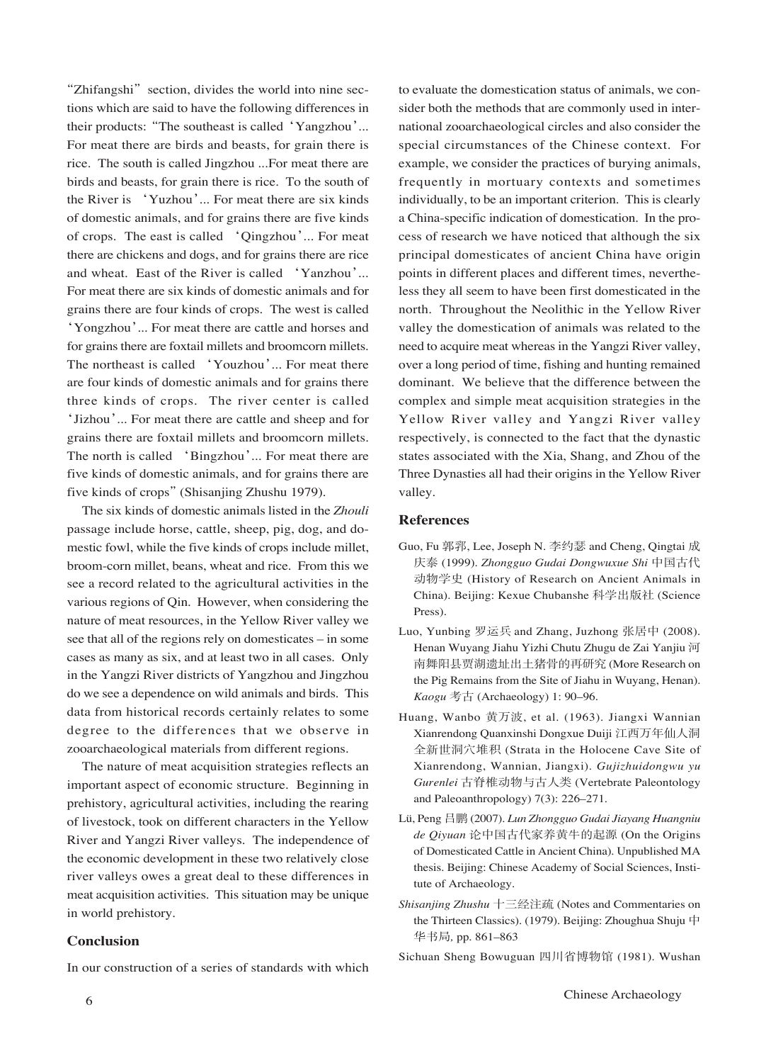"Zhifangshi" section, divides the world into nine sections which are said to have the following differences in their products: "The southeast is called 'Yangzhou'... For meat there are birds and beasts, for grain there is rice. The south is called Jingzhou ...For meat there are birds and beasts, for grain there is rice. To the south of the River is 'Yuzhou'... For meat there are six kinds of domestic animals, and for grains there are five kinds of crops. The east is called 'Qingzhou'... For meat there are chickens and dogs, and for grains there are rice and wheat. East of the River is called 'Yanzhou'... For meat there are six kinds of domestic animals and for grains there are four kinds of crops. The west is called 'Yongzhou'... For meat there are cattle and horses and for grains there are foxtail millets and broomcorn millets. The northeast is called 'Youzhou'... For meat there are four kinds of domestic animals and for grains there three kinds of crops. The river center is called 'Jizhou'... For meat there are cattle and sheep and for grains there are foxtail millets and broomcorn millets. The north is called 'Bingzhou'... For meat there are five kinds of domestic animals, and for grains there are five kinds of crops" (Shisanjing Zhushu 1979).

The six kinds of domestic animals listed in the *Zhouli* passage include horse, cattle, sheep, pig, dog, and domestic fowl, while the five kinds of crops include millet, broom-corn millet, beans, wheat and rice. From this we see a record related to the agricultural activities in the various regions of Qin. However, when considering the nature of meat resources, in the Yellow River valley we see that all of the regions rely on domesticates – in some cases as many as six, and at least two in all cases. Only in the Yangzi River districts of Yangzhou and Jingzhou do we see a dependence on wild animals and birds. This data from historical records certainly relates to some degree to the differences that we observe in zooarchaeological materials from different regions.

The nature of meat acquisition strategies reflects an important aspect of economic structure. Beginning in prehistory, agricultural activities, including the rearing of livestock, took on different characters in the Yellow River and Yangzi River valleys. The independence of the economic development in these two relatively close river valleys owes a great deal to these differences in meat acquisition activities. This situation may be unique in world prehistory.

# **Conclusion**

In our construction of a series of standards with which

to evaluate the domestication status of animals, we consider both the methods that are commonly used in international zooarchaeological circles and also consider the special circumstances of the Chinese context. For example, we consider the practices of burying animals, frequently in mortuary contexts and sometimes individually, to be an important criterion. This is clearly a China-specific indication of domestication. In the process of research we have noticed that although the six principal domesticates of ancient China have origin points in different places and different times, nevertheless they all seem to have been first domesticated in the north. Throughout the Neolithic in the Yellow River valley the domestication of animals was related to the need to acquire meat whereas in the Yangzi River valley, over a long period of time, fishing and hunting remained dominant. We believe that the difference between the complex and simple meat acquisition strategies in the Yellow River valley and Yangzi River valley respectively, is connected to the fact that the dynastic states associated with the Xia, Shang, and Zhou of the Three Dynasties all had their origins in the Yellow River valley.

#### **References**

- Guo, Fu 郭郛, Lee, Joseph N. 李约瑟 and Cheng, Qingtai 成 庆泰 (1999). *Zhongguo Gudai Dongwuxue Shi* 中国古代 动物学史 (History of Research on Ancient Animals in China)*.* Beijing: Kexue Chubanshe 科学出版社 (Science Press).
- Luo, Yunbing 罗运兵 and Zhang, Juzhong 张居中 (2008). Henan Wuyang Jiahu Yizhi Chutu Zhugu de Zai Yanjiu 河 南舞阳县贾湖遗址出土猪骨的再研究 (More Research on the Pig Remains from the Site of Jiahu in Wuyang, Henan). *Kaogu* 考古 (Archaeology) 1: 90–96.
- Huang, Wanbo 黄万波, et al. (1963). Jiangxi Wannian Xianrendong Quanxinshi Dongxue Duiji 江西万年仙人洞 全新世洞穴堆积 (Strata in the Holocene Cave Site of Xianrendong, Wannian, Jiangxi). *Gujizhuidongwu yu Gurenlei* 古脊椎动物与古人类 (Vertebrate Paleontology and Paleoanthropology) 7(3): 226–271.
- Lü, Peng 吕鹏 (2007). *Lun Zhongguo Gudai Jiayang Huangniu de Qiyuan* 论中国古代家养黄牛的起源 (On the Origins of Domesticated Cattle in Ancient China)*.* Unpublished MA thesis. Beijing: Chinese Academy of Social Sciences, Institute of Archaeology.
- *Shisanjing Zhushu* 十三经注疏 (Notes and Commentaries on the Thirteen Classics)*.* (1979). Beijing: Zhoughua Shuju 中 华书局*,* pp. 861–863
- Sichuan Sheng Bowuguan 四川省博物馆 (1981). Wushan